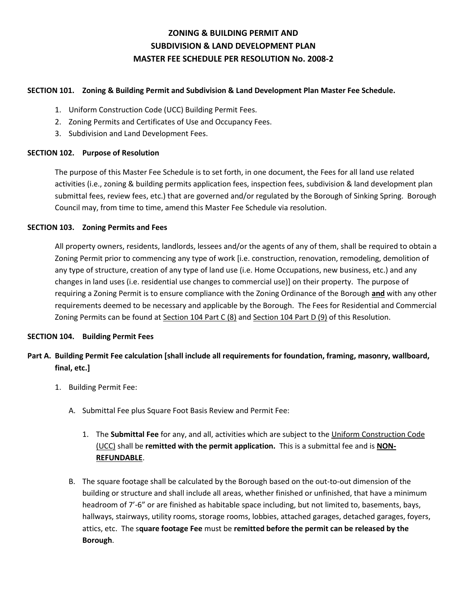# **ZONING & BUILDING PERMIT AND SUBDIVISION & LAND DEVELOPMENT PLAN MASTER FEE SCHEDULE PER RESOLUTION No. 2008-2**

#### **SECTION 101. Zoning & Building Permit and Subdivision & Land Development Plan Master Fee Schedule.**

- 1. Uniform Construction Code (UCC) Building Permit Fees.
- 2. Zoning Permits and Certificates of Use and Occupancy Fees.
- 3. Subdivision and Land Development Fees.

#### **SECTION 102. Purpose of Resolution**

The purpose of this Master Fee Schedule is to set forth, in one document, the Fees for all land use related activities (i.e., zoning & building permits application fees, inspection fees, subdivision & land development plan submittal fees, review fees, etc.) that are governed and/or regulated by the Borough of Sinking Spring. Borough Council may, from time to time, amend this Master Fee Schedule via resolution.

#### **SECTION 103. Zoning Permits and Fees**

All property owners, residents, landlords, lessees and/or the agents of any of them, shall be required to obtain a Zoning Permit prior to commencing any type of work [i.e. construction, renovation, remodeling, demolition of any type of structure, creation of any type of land use (i.e. Home Occupations, new business, etc.) and any changes in land uses (i.e. residential use changes to commercial use)] on their property. The purpose of requiring a Zoning Permit is to ensure compliance with the Zoning Ordinance of the Borough **and** with any other requirements deemed to be necessary and applicable by the Borough. The Fees for Residential and Commercial Zoning Permits can be found at Section 104 Part C (8) and Section 104 Part D (9) of this Resolution.

## **SECTION 104. Building Permit Fees**

## **Part A. Building Permit Fee calculation [shall include all requirements for foundation, framing, masonry, wallboard, final, etc.]**

- 1. Building Permit Fee:
	- A. Submittal Fee plus Square Foot Basis Review and Permit Fee:
		- 1. The **Submittal Fee** for any, and all, activities which are subject to the Uniform Construction Code (UCC) shall be **remitted with the permit application.** This is a submittal fee and is **NON-REFUNDABLE**.
	- B. The square footage shall be calculated by the Borough based on the out-to-out dimension of the building or structure and shall include all areas, whether finished or unfinished, that have a minimum headroom of 7'-6" or are finished as habitable space including, but not limited to, basements, bays, hallways, stairways, utility rooms, storage rooms, lobbies, attached garages, detached garages, foyers, attics, etc. The s**quare footage Fee** must be **remitted before the permit can be released by the Borough**.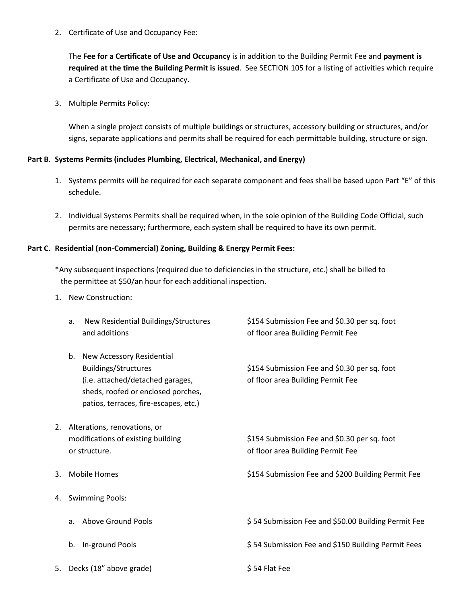2. Certificate of Use and Occupancy Fee:

The **Fee for a Certificate of Use and Occupancy** is in addition to the Building Permit Fee and **payment is required at the time the Building Permit is issued**. See SECTION 105 for a listing of activities which require a Certificate of Use and Occupancy.

3. Multiple Permits Policy:

When a single project consists of multiple buildings or structures, accessory building or structures, and/or signs, separate applications and permits shall be required for each permittable building, structure or sign.

## **Part B. Systems Permits (includes Plumbing, Electrical, Mechanical, and Energy)**

- 1. Systems permits will be required for each separate component and fees shall be based upon Part "E" of this schedule.
- 2. Individual Systems Permits shall be required when, in the sole opinion of the Building Code Official, such permits are necessary; furthermore, each system shall be required to have its own permit.

## **Part C. Residential (non-Commercial) Zoning, Building & Energy Permit Fees:**

\*Any subsequent inspections (required due to deficiencies in the structure, etc.) shall be billed to the permittee at \$50/an hour for each additional inspection.

1. New Construction:

|    | New Residential Buildings/Structures<br>a.<br>and additions                                                                                                                       | \$154 Submission Fee and \$0.30 per sq. foot<br>of floor area Building Permit Fee |
|----|-----------------------------------------------------------------------------------------------------------------------------------------------------------------------------------|-----------------------------------------------------------------------------------|
|    | New Accessory Residential<br>b.<br><b>Buildings/Structures</b><br>(i.e. attached/detached garages,<br>sheds, roofed or enclosed porches,<br>patios, terraces, fire-escapes, etc.) | \$154 Submission Fee and \$0.30 per sq. foot<br>of floor area Building Permit Fee |
| 2. | Alterations, renovations, or<br>modifications of existing building<br>or structure.                                                                                               | \$154 Submission Fee and \$0.30 per sq. foot<br>of floor area Building Permit Fee |
| 3. | <b>Mobile Homes</b>                                                                                                                                                               | \$154 Submission Fee and \$200 Building Permit Fee                                |
| 4. | <b>Swimming Pools:</b>                                                                                                                                                            |                                                                                   |
|    | Above Ground Pools<br>a.                                                                                                                                                          | \$54 Submission Fee and \$50.00 Building Permit Fee                               |
|    | In-ground Pools<br>b.                                                                                                                                                             | \$54 Submission Fee and \$150 Building Permit Fees                                |
|    | 5. Decks (18" above grade)                                                                                                                                                        | \$54 Flat Fee                                                                     |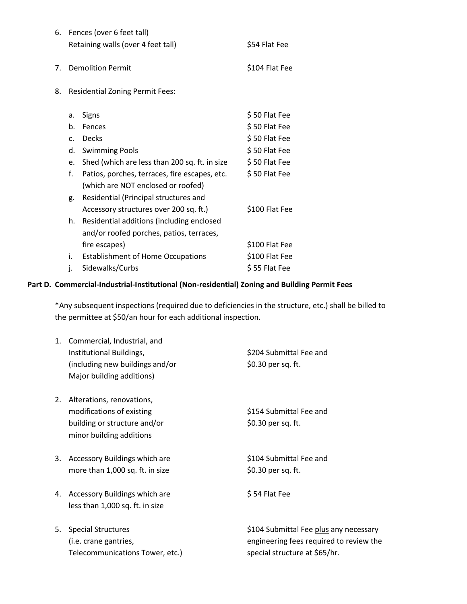| 6. | Fences (over 6 feet tall)              |                                               |                |
|----|----------------------------------------|-----------------------------------------------|----------------|
|    |                                        | Retaining walls (over 4 feet tall)            | \$54 Flat Fee  |
| 7. |                                        | <b>Demolition Permit</b>                      | \$104 Flat Fee |
| 8. | <b>Residential Zoning Permit Fees:</b> |                                               |                |
|    | a.                                     | Signs                                         | \$50 Flat Fee  |
|    | b.                                     | Fences                                        | \$50 Flat Fee  |
|    | C.                                     | <b>Decks</b>                                  | \$50 Flat Fee  |
|    | d.                                     | <b>Swimming Pools</b>                         | \$50 Flat Fee  |
|    | e.                                     | Shed (which are less than 200 sq. ft. in size | \$50 Flat Fee  |
|    | f.                                     | Patios, porches, terraces, fire escapes, etc. | \$50 Flat Fee  |
|    |                                        | (which are NOT enclosed or roofed)            |                |
|    | g.                                     | Residential (Principal structures and         |                |
|    |                                        | Accessory structures over 200 sq. ft.)        | \$100 Flat Fee |
|    | h.                                     | Residential additions (including enclosed     |                |
|    |                                        | and/or roofed porches, patios, terraces,      |                |
|    |                                        | fire escapes)                                 | \$100 Flat Fee |
|    | i.                                     | <b>Establishment of Home Occupations</b>      | \$100 Flat Fee |
|    | j.                                     | Sidewalks/Curbs                               | \$55 Flat Fee  |

#### **Part D. Commercial-Industrial-Institutional (Non-residential) Zoning and Building Permit Fees**

\*Any subsequent inspections (required due to deficiencies in the structure, etc.) shall be billed to the permittee at \$50/an hour for each additional inspection.

| 1. | Commercial, Industrial, and<br>Institutional Buildings,<br>(including new buildings and/or<br>Major building additions) | \$204 Submittal Fee and<br>\$0.30 per sq. ft.                                                                      |
|----|-------------------------------------------------------------------------------------------------------------------------|--------------------------------------------------------------------------------------------------------------------|
| 2. | Alterations, renovations,<br>modifications of existing<br>building or structure and/or<br>minor building additions      | \$154 Submittal Fee and<br>\$0.30 per sq. ft.                                                                      |
|    | 3. Accessory Buildings which are<br>more than 1,000 sq. ft. in size                                                     | \$104 Submittal Fee and<br>\$0.30 per sq. ft.                                                                      |
|    | 4. Accessory Buildings which are<br>less than 1,000 sq. ft. in size                                                     | \$54 Flat Fee                                                                                                      |
| 5. | <b>Special Structures</b><br>(i.e. crane gantries,<br>Telecommunications Tower, etc.)                                   | \$104 Submittal Fee plus any necessary<br>engineering fees required to review the<br>special structure at \$65/hr. |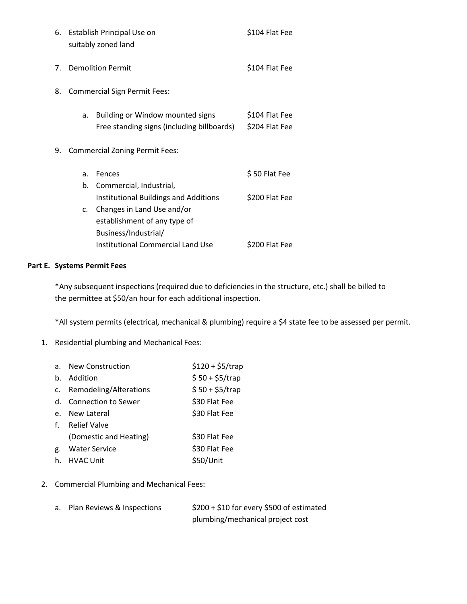| 6. | Establish Principal Use on<br>suitably zoned land |                                                                                | \$104 Flat Fee                   |
|----|---------------------------------------------------|--------------------------------------------------------------------------------|----------------------------------|
| 7. | <b>Demolition Permit</b>                          |                                                                                | \$104 Flat Fee                   |
| 8. | <b>Commercial Sign Permit Fees:</b>               |                                                                                |                                  |
|    | a.                                                | Building or Window mounted signs<br>Free standing signs (including billboards) | \$104 Flat Fee<br>\$204 Flat Fee |
| 9. | <b>Commercial Zoning Permit Fees:</b>             |                                                                                |                                  |
|    | a.                                                | Fences                                                                         | \$50 Flat Fee                    |
|    | b.                                                | Commercial, Industrial,                                                        |                                  |
|    |                                                   | <b>Institutional Buildings and Additions</b>                                   | \$200 Flat Fee                   |
|    | c.                                                | Changes in Land Use and/or                                                     |                                  |
|    |                                                   | establishment of any type of                                                   |                                  |
|    |                                                   | Business/Industrial/                                                           |                                  |
|    |                                                   | <b>Institutional Commercial Land Use</b>                                       | \$200 Flat Fee                   |

#### **Part E. Systems Permit Fees**

\*Any subsequent inspections (required due to deficiencies in the structure, etc.) shall be billed to the permittee at \$50/an hour for each additional inspection.

\*All system permits (electrical, mechanical & plumbing) require a \$4 state fee to be assessed per permit.

1. Residential plumbing and Mechanical Fees:

| a <sub>1</sub> | New Construction           | $$120 + $5/$ trap |
|----------------|----------------------------|-------------------|
| h.             | Addition                   | $$50 + $5/$ trap  |
| C.             | Remodeling/Alterations     | $$50 + $5/$ trap  |
| d.             | <b>Connection to Sewer</b> | \$30 Flat Fee     |
| $\mathsf{P}$   | New Lateral                | \$30 Flat Fee     |
| $f_{\perp}$    | <b>Relief Valve</b>        |                   |
|                | (Domestic and Heating)     | \$30 Flat Fee     |
| g.             | <b>Water Service</b>       | \$30 Flat Fee     |
| h.             | <b>HVAC Unit</b>           | \$50/Unit         |

2. Commercial Plumbing and Mechanical Fees:

| a. Plan Reviews & Inspections | $$200 + $10$ for every \$500 of estimated |
|-------------------------------|-------------------------------------------|
|                               | plumbing/mechanical project cost          |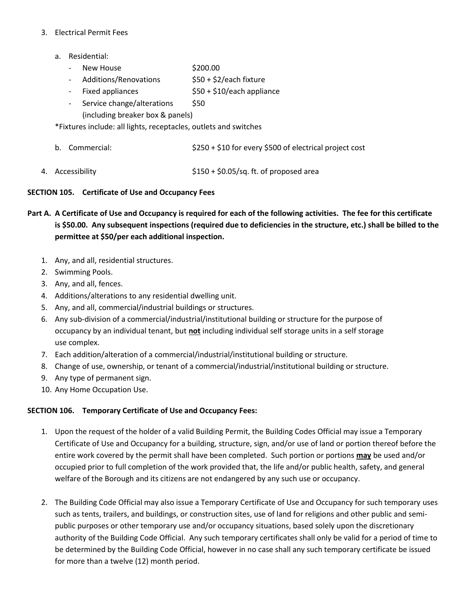#### 3. Electrical Permit Fees

- a. Residential:
	- New House \$200.00
	- $Additions/Renovations$   $$50 + $2/each$  fixture
	- Fixed appliances  $$50 + $10/e$ ach appliance
	- Service change/alterations \$50
		- (including breaker box & panels)

\*Fixtures include: all lights, receptacles, outlets and switches

- b. Commercial:  $$250 + $10$  for every \$500 of electrical project cost
- 4. Accessibility  $$150 + $0.05/sq$ . ft. of proposed area

## **SECTION 105. Certificate of Use and Occupancy Fees**

- **Part A. A Certificate of Use and Occupancy is required for each of the following activities. The fee for this certificate is \$50.00. Any subsequent inspections (required due to deficiencies in the structure, etc.) shall be billed to the permittee at \$50/per each additional inspection.**
	- 1. Any, and all, residential structures.
	- 2. Swimming Pools.
	- 3. Any, and all, fences.
	- 4. Additions/alterations to any residential dwelling unit.
	- 5. Any, and all, commercial/industrial buildings or structures.
	- 6. Any sub-division of a commercial/industrial/institutional building or structure for the purpose of occupancy by an individual tenant, but **not** including individual self storage units in a self storage use complex.
	- 7. Each addition/alteration of a commercial/industrial/institutional building or structure.
	- 8. Change of use, ownership, or tenant of a commercial/industrial/institutional building or structure.
	- 9. Any type of permanent sign.
	- 10. Any Home Occupation Use.

## **SECTION 106. Temporary Certificate of Use and Occupancy Fees:**

- 1. Upon the request of the holder of a valid Building Permit, the Building Codes Official may issue a Temporary Certificate of Use and Occupancy for a building, structure, sign, and/or use of land or portion thereof before the entire work covered by the permit shall have been completed. Such portion or portions **may** be used and/or occupied prior to full completion of the work provided that, the life and/or public health, safety, and general welfare of the Borough and its citizens are not endangered by any such use or occupancy.
- 2. The Building Code Official may also issue a Temporary Certificate of Use and Occupancy for such temporary uses such as tents, trailers, and buildings, or construction sites, use of land for religions and other public and semipublic purposes or other temporary use and/or occupancy situations, based solely upon the discretionary authority of the Building Code Official. Any such temporary certificates shall only be valid for a period of time to be determined by the Building Code Official, however in no case shall any such temporary certificate be issued for more than a twelve (12) month period.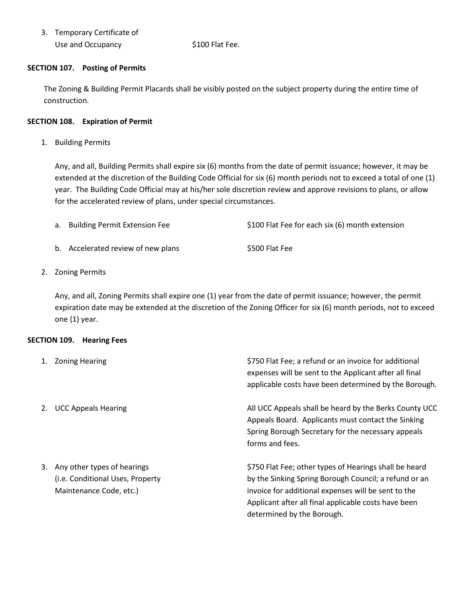| 3. Temporary Certificate of |                 |  |
|-----------------------------|-----------------|--|
| Use and Occupancy           | \$100 Flat Fee. |  |

#### **SECTION 107. Posting of Permits**

The Zoning & Building Permit Placards shall be visibly posted on the subject property during the entire time of construction.

#### **SECTION 108. Expiration of Permit**

1. Building Permits

Any, and all, Building Permits shall expire six (6) months from the date of permit issuance; however, it may be extended at the discretion of the Building Code Official for six (6) month periods not to exceed a total of one (1) year. The Building Code Official may at his/her sole discretion review and approve revisions to plans, or allow for the accelerated review of plans, under special circumstances.

| a. Building Permit Extension Fee   | \$100 Flat Fee for each six (6) month extension |
|------------------------------------|-------------------------------------------------|
| b. Accelerated review of new plans | S500 Flat Fee                                   |

2. Zoning Permits

Any, and all, Zoning Permits shall expire one (1) year from the date of permit issuance; however, the permit expiration date may be extended at the discretion of the Zoning Officer for six (6) month periods, not to exceed one (1) year.

#### **SECTION 109. Hearing Fees**

| <b>Zoning Hearing</b><br>1. |                                                                                            | \$750 Flat Fee; a refund or an invoice for additional<br>expenses will be sent to the Applicant after all final<br>applicable costs have been determined by the Borough.                                                                                     |
|-----------------------------|--------------------------------------------------------------------------------------------|--------------------------------------------------------------------------------------------------------------------------------------------------------------------------------------------------------------------------------------------------------------|
| <b>UCC Appeals Hearing</b>  |                                                                                            | All UCC Appeals shall be heard by the Berks County UCC<br>Appeals Board. Applicants must contact the Sinking<br>Spring Borough Secretary for the necessary appeals<br>forms and fees.                                                                        |
| 3.                          | Any other types of hearings<br>(i.e. Conditional Uses, Property<br>Maintenance Code, etc.) | \$750 Flat Fee; other types of Hearings shall be heard<br>by the Sinking Spring Borough Council; a refund or an<br>invoice for additional expenses will be sent to the<br>Applicant after all final applicable costs have been<br>determined by the Borough. |